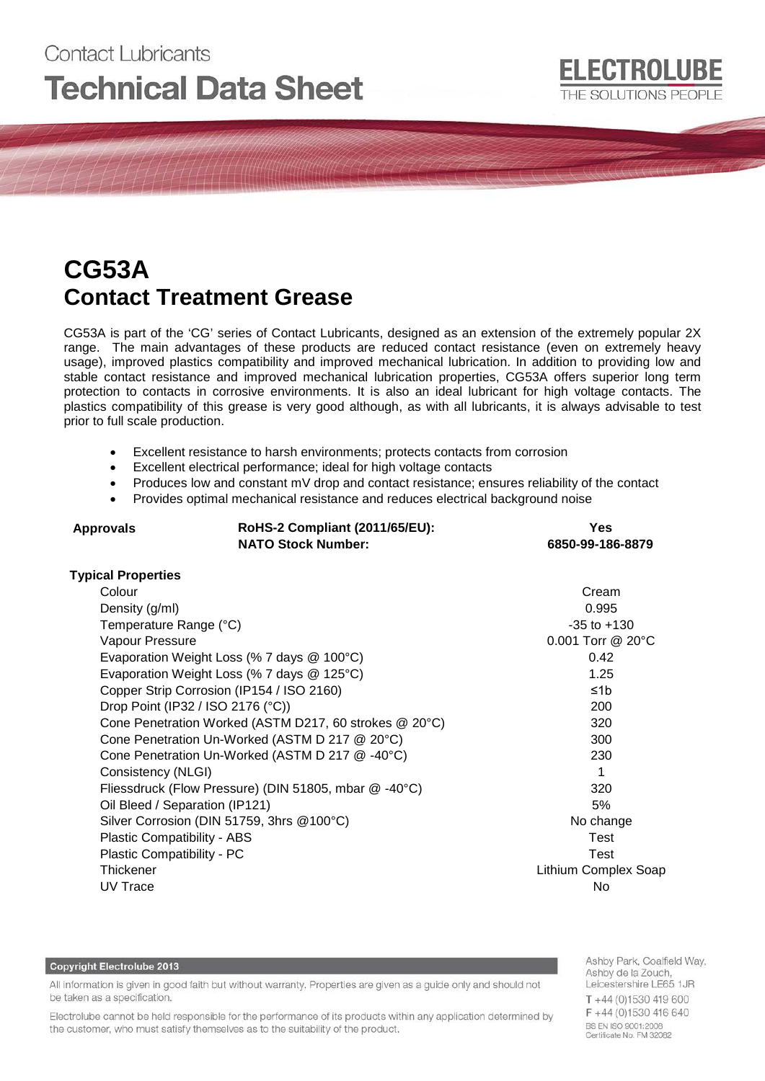# Contact Lubricants **Technical Data Sheet**

# **CG53A Contact Treatment Grease**

CG53A is part of the 'CG' series of Contact Lubricants, designed as an extension of the extremely popular 2X range. The main advantages of these products are reduced contact resistance (even on extremely heavy usage), improved plastics compatibility and improved mechanical lubrication. In addition to providing low and stable contact resistance and improved mechanical lubrication properties, CG53A offers superior long term protection to contacts in corrosive environments. It is also an ideal lubricant for high voltage contacts. The plastics compatibility of this grease is very good although, as with all lubricants, it is always advisable to test prior to full scale production.

- Excellent resistance to harsh environments; protects contacts from corrosion
- Excellent electrical performance; ideal for high voltage contacts
- Produces low and constant mV drop and contact resistance; ensures reliability of the contact
- Provides optimal mechanical resistance and reduces electrical background noise

| <b>Approvals</b>            | RoHS-2 Compliant (2011/65/EU):<br><b>NATO Stock Number:</b> | <b>Yes</b><br>6850-99-186-8879 |
|-----------------------------|-------------------------------------------------------------|--------------------------------|
| <b>Typical Properties</b>   |                                                             |                                |
| Colour                      |                                                             | Cream                          |
| Density (g/ml)              |                                                             | 0.995                          |
| Temperature Range (°C)      |                                                             | $-35$ to $+130$                |
| Vapour Pressure             |                                                             | 0.001 Torr @ 20°C              |
|                             | Evaporation Weight Loss (% 7 days @ 100°C)                  | 0.42                           |
|                             | Evaporation Weight Loss (% 7 days @ 125°C)                  | 1.25                           |
|                             | Copper Strip Corrosion (IP154 / ISO 2160)                   | ≤1 $b$                         |
|                             | Drop Point (IP32 / ISO 2176 (°C))                           | 200                            |
|                             | Cone Penetration Worked (ASTM D217, 60 strokes @ 20°C)      | 320                            |
|                             | Cone Penetration Un-Worked (ASTM D 217 @ 20°C)              | 300                            |
|                             | Cone Penetration Un-Worked (ASTM D 217 @ -40°C)             | 230                            |
| Consistency (NLGI)          |                                                             | 1                              |
|                             | Fliessdruck (Flow Pressure) (DIN 51805, mbar @ -40°C)       | 320                            |
|                             | Oil Bleed / Separation (IP121)                              | 5%                             |
|                             | Silver Corrosion (DIN 51759, 3hrs @100°C)                   | No change                      |
| Plastic Compatibility - ABS |                                                             | Test                           |
| Plastic Compatibility - PC  |                                                             | Test                           |
| Thickener                   |                                                             | Lithium Complex Soap           |
| UV Trace                    |                                                             | No                             |

#### **Copyright Electrolube 2013**

All information is given in good faith but without warranty. Properties are given as a guide only and should not be taken as a specification.

Electrolube cannot be held responsible for the performance of its products within any application determined by the customer, who must satisfy themselves as to the suitability of the product.

Ashby Park, Coalfield Way, Ashby de la Zouch, Leicestershire LE65 1JR T+44 (0)1530 419 600 F +44 (0)1530 416 640 BS EN ISO 9001:2008 Certificate No. FM 32082

**ELECTROLUBE** 

THE SOLUTIONS PEOPLE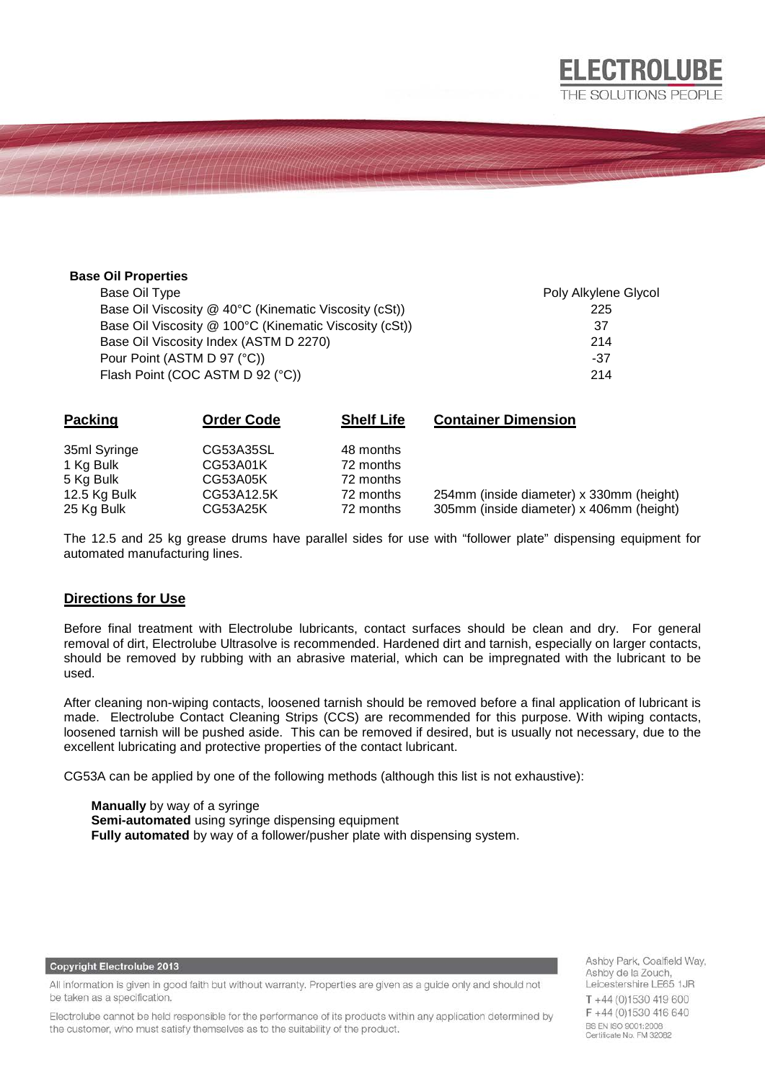#### **Base Oil Properties**

Base Oil Type **Poly Alkylene Glycol** Base Oil Viscosity @ 40°C (Kinematic Viscosity (cSt)) 225 Base Oil Viscosity @ 100°C (Kinematic Viscosity (cSt)) 37 Base Oil Viscosity Index (ASTM D 2270) 214 Pour Point  $(ASTM D 97 (°C))$ Flash Point (COC ASTM D 92 (°C)) 214

**ELECTROLUBE** THE SOLUTIONS PEOPLE

| <b>Packing</b> | <b>Order Code</b> | <b>Shelf Life</b> | <b>Container Dimension</b>               |
|----------------|-------------------|-------------------|------------------------------------------|
| 35ml Syringe   | CG53A35SL         | 48 months         |                                          |
| 1 Kg Bulk      | CG53A01K          | 72 months         |                                          |
| 5 Kg Bulk      | CG53A05K          | 72 months         |                                          |
| 12.5 Kg Bulk   | CG53A12.5K        | 72 months         | 254mm (inside diameter) x 330mm (height) |
| 25 Kg Bulk     | CG53A25K          | 72 months         | 305mm (inside diameter) x 406mm (height) |

The 12.5 and 25 kg grease drums have parallel sides for use with "follower plate" dispensing equipment for automated manufacturing lines.

#### **Directions for Use**

Before final treatment with Electrolube lubricants, contact surfaces should be clean and dry. For general removal of dirt, Electrolube Ultrasolve is recommended. Hardened dirt and tarnish, especially on larger contacts, should be removed by rubbing with an abrasive material, which can be impregnated with the lubricant to be used.

After cleaning non-wiping contacts, loosened tarnish should be removed before a final application of lubricant is made. Electrolube Contact Cleaning Strips (CCS) are recommended for this purpose. With wiping contacts, loosened tarnish will be pushed aside. This can be removed if desired, but is usually not necessary, due to the excellent lubricating and protective properties of the contact lubricant.

CG53A can be applied by one of the following methods (although this list is not exhaustive):

**Manually** by way of a syringe **Semi-automated** using syringe dispensing equipment **Fully automated** by way of a follower/pusher plate with dispensing system.

> Ashby Park, Coalfield Way, Ashby de la Zouch, Leicestershire LE65 1JR T+44 (0)1530 419 600 F+44 (0)1530 416 640 BS EN ISO 9001:2008 Certificate No. FM 32082

### **Copyright Electrolube 2013**

All information is given in good faith but without warranty. Properties are given as a guide only and should not be taken as a specification.

Electrolube cannot be held responsible for the performance of its products within any application determined by the customer, who must satisfy themselves as to the suitability of the product.